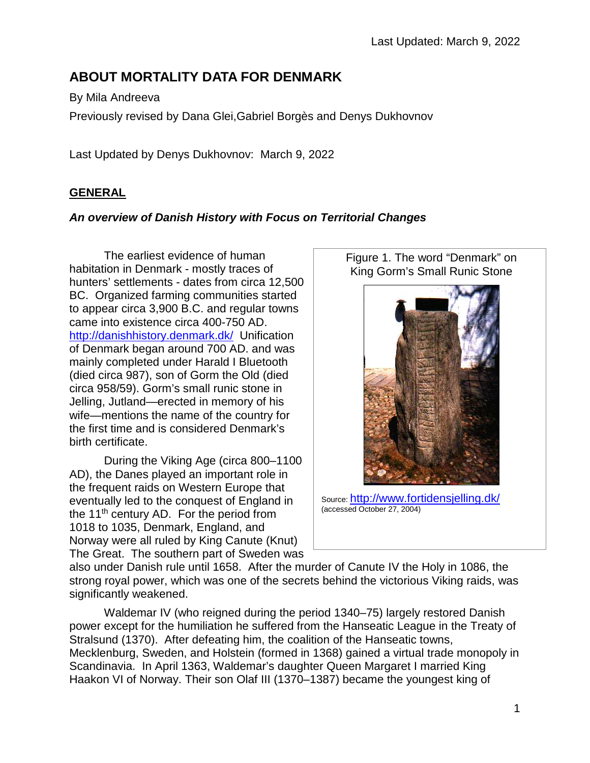# **ABOUT MORTALITY DATA FOR DENMARK**

By Mila Andreeva

Previously revised by Dana Glei,Gabriel Borgès and Denys Dukhovnov

Last Updated by Denys Dukhovnov: March 9, 2022

## **GENERAL**

## *An overview of Danish History with Focus on Territorial Changes*

The earliest evidence of human habitation in Denmark - mostly traces of hunters' settlements - dates from circa 12,500 BC. Organized farming communities started to appear circa 3,900 B.C. and regular towns came into existence circa 400-750 AD. <http://danishhistory.denmark.dk/>Unification of Denmark began around 700 AD. and was mainly completed under Harald I Bluetooth (died circa 987), son of Gorm the Old (died circa 958/59). Gorm's small runic stone in Jelling, Jutland—erected in memory of his wife—mentions the name of the country for the first time and is considered Denmark's birth certificate.

During the Viking Age (circa 800–1100 AD), the Danes played an important role in the frequent raids on Western Europe that eventually led to the conquest of England in the  $11<sup>th</sup>$  century AD. For the period from 1018 to 1035, Denmark, England, and Norway were all ruled by King Canute (Knut) The Great. The southern part of Sweden was



Figure 1. The word "Denmark" on

Source: <http://www.fortidensjelling.dk/> (accessed October 27, 2004)

also under Danish rule until 1658. After the murder of Canute IV the Holy in 1086, the strong royal power, which was one of the secrets behind the victorious Viking raids, was significantly weakened.

Waldemar IV (who reigned during the period 1340–75) largely restored Danish power except for the humiliation he suffered from the Hanseatic League in the Treaty of Stralsund (1370). After defeating him, the coalition of the Hanseatic towns, Mecklenburg, Sweden, and Holstein (formed in 1368) gained a virtual trade monopoly in Scandinavia. In April 1363, Waldemar's daughter Queen Margaret I married King Haakon VI of Norway. Their son Olaf III (1370–1387) became the youngest king of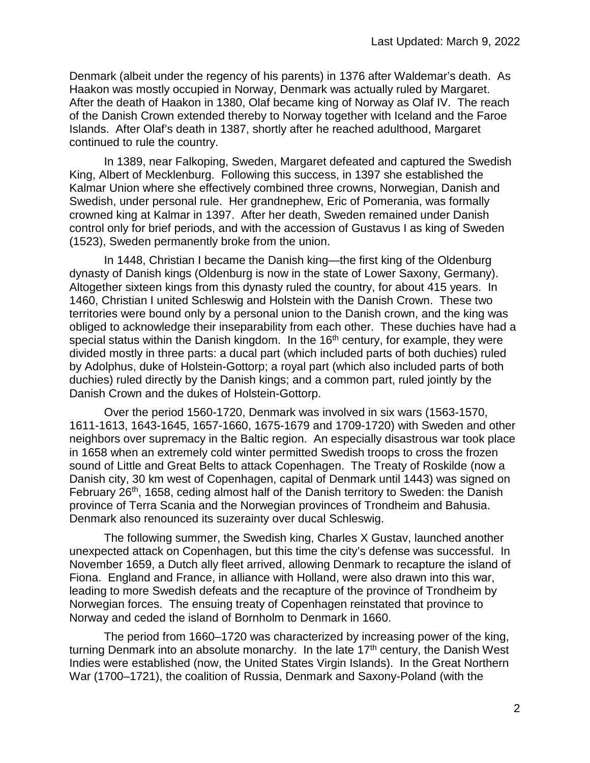Denmark (albeit under the regency of his parents) in 1376 after Waldemar's death. As Haakon was mostly occupied in Norway, Denmark was actually ruled by Margaret. After the death of Haakon in 1380, Olaf became king of Norway as Olaf IV. The reach of the Danish Crown extended thereby to Norway together with Iceland and the Faroe Islands. After Olaf's death in 1387, shortly after he reached adulthood, Margaret continued to rule the country.

In 1389, near Falkoping, Sweden, Margaret defeated and captured the Swedish King, Albert of Mecklenburg. Following this success, in 1397 she established the Kalmar Union where she effectively combined three crowns, Norwegian, Danish and Swedish, under personal rule. Her grandnephew, Eric of Pomerania, was formally crowned king at Kalmar in 1397. After her death, Sweden remained under Danish control only for brief periods, and with the accession of Gustavus I as king of Sweden (1523), Sweden permanently broke from the union.

In 1448, Christian I became the Danish king—the first king of the Oldenburg dynasty of Danish kings (Oldenburg is now in the state of Lower Saxony, Germany). Altogether sixteen kings from this dynasty ruled the country, for about 415 years. In 1460, Christian I united Schleswig and Holstein with the Danish Crown. These two territories were bound only by a personal union to the Danish crown, and the king was obliged to acknowledge their inseparability from each other. These duchies have had a special status within the Danish kingdom. In the 16<sup>th</sup> century, for example, they were divided mostly in three parts: a ducal part (which included parts of both duchies) ruled by Adolphus, duke of Holstein-Gottorp; a royal part (which also included parts of both duchies) ruled directly by the Danish kings; and a common part, ruled jointly by the Danish Crown and the dukes of Holstein-Gottorp.

Over the period 1560-1720, Denmark was involved in six wars (1563-1570, 1611-1613, 1643-1645, 1657-1660, 1675-1679 and 1709-1720) with Sweden and other neighbors over supremacy in the Baltic region. An especially disastrous war took place in 1658 when an extremely cold winter permitted Swedish troops to cross the frozen sound of Little and Great Belts to attack Copenhagen. The Treaty of Roskilde (now a Danish city, 30 km west of Copenhagen, capital of Denmark until 1443) was signed on February 26<sup>th</sup>, 1658, ceding almost half of the Danish territory to Sweden: the Danish province of Terra Scania and the Norwegian provinces of Trondheim and Bahusia. Denmark also renounced its suzerainty over ducal Schleswig.

The following summer, the Swedish king, Charles X Gustav, launched another unexpected attack on Copenhagen, but this time the city's defense was successful. In November 1659, a Dutch ally fleet arrived, allowing Denmark to recapture the island of Fiona. England and France, in alliance with Holland, were also drawn into this war, leading to more Swedish defeats and the recapture of the province of Trondheim by Norwegian forces. The ensuing treaty of Copenhagen reinstated that province to Norway and ceded the island of Bornholm to Denmark in 1660.

The period from 1660–1720 was characterized by increasing power of the king, turning Denmark into an absolute monarchy. In the late  $17<sup>th</sup>$  century, the Danish West Indies were established (now, the United States Virgin Islands). In the Great Northern War (1700–1721), the coalition of Russia, Denmark and Saxony-Poland (with the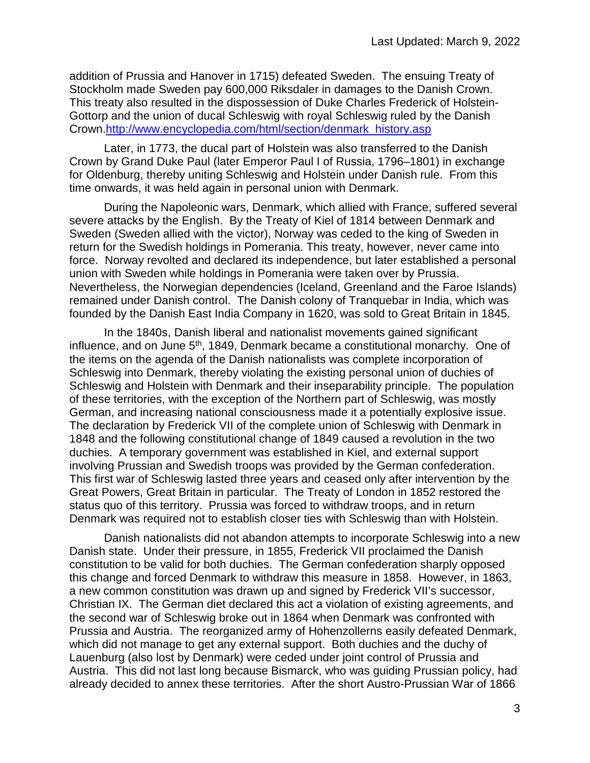addition of Prussia and Hanover in 1715) defeated Sweden. The ensuing Treaty of Stockholm made Sweden pay 600,000 Riksdaler in damages to the Danish Crown. This treaty also resulted in the dispossession of Duke Charles Frederick of Holstein-Gottorp and the union of ducal Schleswig with royal Schleswig ruled by the Danish Crown[.http://www.encyclopedia.com/html/section/denmark\\_history.asp](http://www.encyclopedia.com/html/section/denmark_history.asp)

Later, in 1773, the ducal part of Holstein was also transferred to the Danish Crown by Grand Duke Paul (later Emperor Paul I of Russia, 1796–1801) in exchange for Oldenburg, thereby uniting Schleswig and Holstein under Danish rule. From this time onwards, it was held again in personal union with Denmark.

During the Napoleonic wars, Denmark, which allied with France, suffered several severe attacks by the English. By the Treaty of Kiel of 1814 between Denmark and Sweden (Sweden allied with the victor), Norway was ceded to the king of Sweden in return for the Swedish holdings in Pomerania. This treaty, however, never came into force. Norway revolted and declared its independence, but later established a personal union with Sweden while holdings in Pomerania were taken over by Prussia. Nevertheless, the Norwegian dependencies (Iceland, Greenland and the Faroe Islands) remained under Danish control. The Danish colony of Tranquebar in India, which was founded by the Danish East India Company in 1620, was sold to Great Britain in 1845.

In the 1840s, Danish liberal and nationalist movements gained significant influence, and on June 5<sup>th</sup>, 1849, Denmark became a constitutional monarchy. One of the items on the agenda of the Danish nationalists was complete incorporation of Schleswig into Denmark, thereby violating the existing personal union of duchies of Schleswig and Holstein with Denmark and their inseparability principle. The population of these territories, with the exception of the Northern part of Schleswig, was mostly German, and increasing national consciousness made it a potentially explosive issue. The declaration by Frederick VII of the complete union of Schleswig with Denmark in 1848 and the following constitutional change of 1849 caused a revolution in the two duchies. A temporary government was established in Kiel, and external support involving Prussian and Swedish troops was provided by the German confederation. This first war of Schleswig lasted three years and ceased only after intervention by the Great Powers, Great Britain in particular. The Treaty of London in 1852 restored the status quo of this territory. Prussia was forced to withdraw troops, and in return Denmark was required not to establish closer ties with Schleswig than with Holstein.

Danish nationalists did not abandon attempts to incorporate Schleswig into a new Danish state. Under their pressure, in 1855, Frederick VII proclaimed the Danish constitution to be valid for both duchies. The German confederation sharply opposed this change and forced Denmark to withdraw this measure in 1858. However, in 1863, a new common constitution was drawn up and signed by Frederick VII's successor, Christian IX. The German diet declared this act a violation of existing agreements, and the second war of Schleswig broke out in 1864 when Denmark was confronted with Prussia and Austria. The reorganized army of Hohenzollerns easily defeated Denmark, which did not manage to get any external support. Both duchies and the duchy of Lauenburg (also lost by Denmark) were ceded under joint control of Prussia and Austria. This did not last long because Bismarck, who was guiding Prussian policy, had already decided to annex these territories. After the short Austro-Prussian War of 1866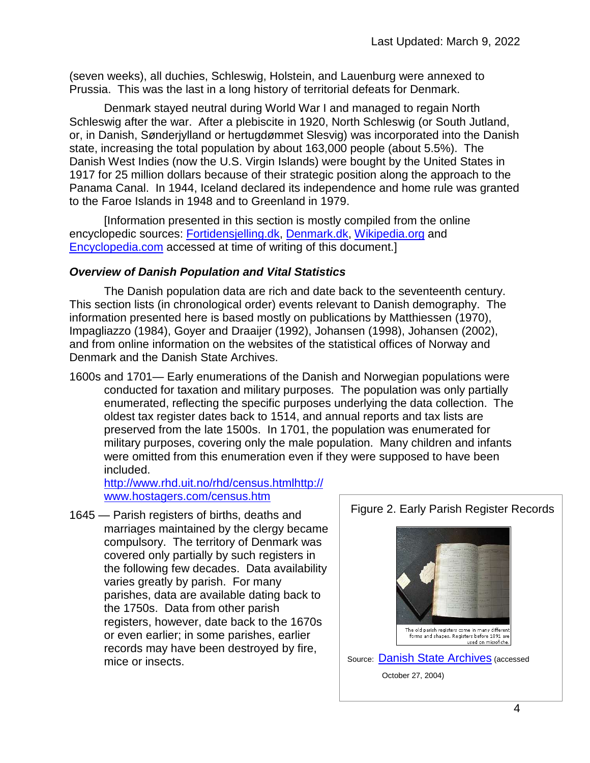(seven weeks), all duchies, Schleswig, Holstein, and Lauenburg were annexed to Prussia. This was the last in a long history of territorial defeats for Denmark.

Denmark stayed neutral during World War I and managed to regain North Schleswig after the war. After a plebiscite in 1920, North Schleswig (or South Jutland, or, in Danish, Sønderjylland or hertugdømmet Slesvig) was incorporated into the Danish state, increasing the total population by about 163,000 people (about 5.5%). The Danish West Indies (now the U.S. Virgin Islands) were bought by the United States in 1917 for 25 million dollars because of their strategic position along the approach to the Panama Canal. In 1944, Iceland declared its independence and home rule was granted to the Faroe Islands in 1948 and to Greenland in 1979.

[Information presented in this section is mostly compiled from the online encyclopedic sources: [Fortidensjelling.dk,](http://fortidensjelling.dk/) [Denmark.dk,](http://denmark.dk/) [Wikipedia.org](http://wikipedia.org/) and [Encyclopedia.com](http://encyclopedia.com/) accessed at time of writing of this document.]

#### *Overview of Danish Population and Vital Statistics*

The Danish population data are rich and date back to the seventeenth century. This section lists (in chronological order) events relevant to Danish demography. The information presented here is based mostly on publications by Matthiessen (1970), Impagliazzo (1984), Goyer and Draaijer (1992), Johansen (1998), Johansen (2002), and from online information on the websites of the statistical offices of Norway and Denmark and the Danish State Archives.

1600s and 1701— Early enumerations of the Danish and Norwegian populations were conducted for taxation and military purposes. The population was only partially enumerated, reflecting the specific purposes underlying the data collection. The oldest tax register dates back to 1514, and annual reports and tax lists are preserved from the late 1500s. In 1701, the population was enumerated for military purposes, covering only the male population. Many children and infants were omitted from this enumeration even if they were supposed to have been included.

<http://www.rhd.uit.no/rhd/census.html>[http://](http://www.hostagers.com/census.htm) [www.hostagers.com/census.htm](http://www.hostagers.com/census.htm)

1645 — Parish registers of births, deaths and marriages maintained by the clergy became compulsory. The territory of Denmark was covered only partially by such registers in the following few decades. Data availability varies greatly by parish. For many parishes, data are available dating back to the 1750s. Data from other parish registers, however, date back to the 1670s or even earlier; in some parishes, earlier records may have been destroyed by fire, mice or insects.

## Figure 2. Early Parish Register Records

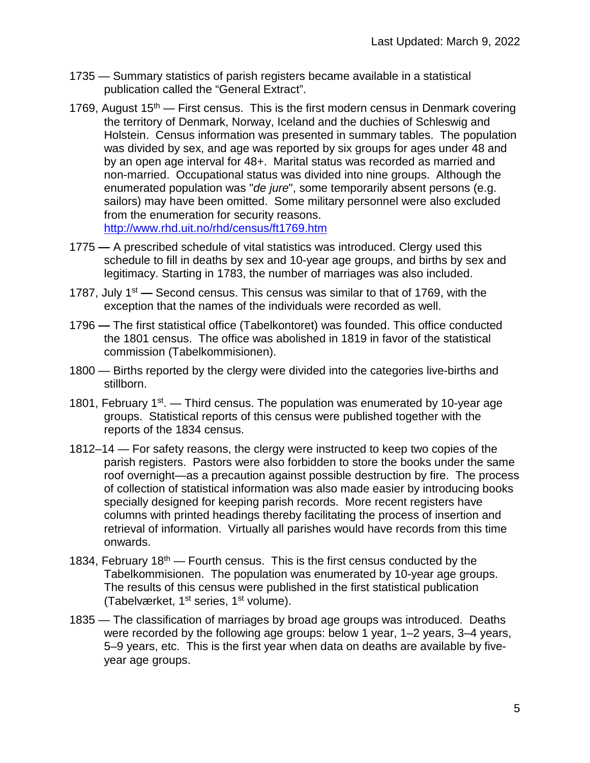- 1735 Summary statistics of parish registers became available in a statistical publication called the "General Extract".
- 1769, August  $15<sup>th</sup>$  First census. This is the first modern census in Denmark covering the territory of Denmark, Norway, Iceland and the duchies of Schleswig and Holstein. Census information was presented in summary tables. The population was divided by sex, and age was reported by six groups for ages under 48 and by an open age interval for 48+. Marital status was recorded as married and non-married. Occupational status was divided into nine groups. Although the enumerated population was "*de jure*", some temporarily absent persons (e.g. sailors) may have been omitted. Some military personnel were also excluded from the enumeration for security reasons. <http://www.rhd.uit.no/rhd/census/ft1769.htm>
- 1775 **—** A prescribed schedule of vital statistics was introduced. Clergy used this schedule to fill in deaths by sex and 10-year age groups, and births by sex and legitimacy. Starting in 1783, the number of marriages was also included.
- 1787, July 1st **—** Second census. This census was similar to that of 1769, with the exception that the names of the individuals were recorded as well.
- 1796 **—** The first statistical office (Tabelkontoret) was founded. This office conducted the 1801 census. The office was abolished in 1819 in favor of the statistical commission (Tabelkommisionen).
- 1800 Births reported by the clergy were divided into the categories live-births and stillborn.
- 1801, February  $1<sup>st</sup>$ . Third census. The population was enumerated by 10-year age groups. Statistical reports of this census were published together with the reports of the 1834 census.
- 1812–14 For safety reasons, the clergy were instructed to keep two copies of the parish registers. Pastors were also forbidden to store the books under the same roof overnight—as a precaution against possible destruction by fire. The process of collection of statistical information was also made easier by introducing books specially designed for keeping parish records. More recent registers have columns with printed headings thereby facilitating the process of insertion and retrieval of information. Virtually all parishes would have records from this time onwards.
- 1834, February 18<sup>th</sup> Fourth census. This is the first census conducted by the Tabelkommisionen. The population was enumerated by 10-year age groups. The results of this census were published in the first statistical publication (Tabelværket, 1<sup>st</sup> series, 1<sup>st</sup> volume).
- 1835 The classification of marriages by broad age groups was introduced. Deaths were recorded by the following age groups: below 1 year, 1–2 years, 3–4 years, 5–9 years, etc. This is the first year when data on deaths are available by fiveyear age groups.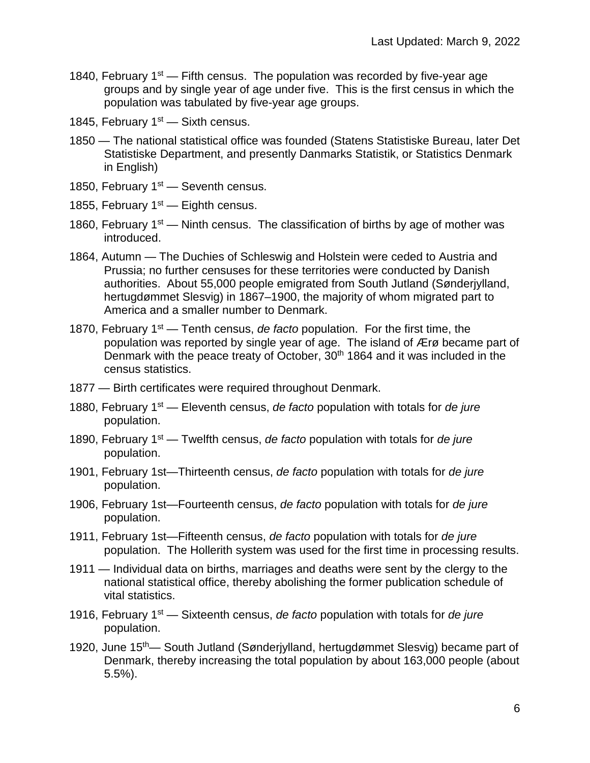- 1840, February  $1<sup>st</sup>$  Fifth census. The population was recorded by five-year age groups and by single year of age under five. This is the first census in which the population was tabulated by five-year age groups.
- 1845, February  $1<sup>st</sup>$  Sixth census.
- 1850 The national statistical office was founded (Statens Statistiske Bureau, later Det Statistiske Department, and presently Danmarks Statistik, or Statistics Denmark in English)
- 1850, February  $1<sup>st</sup>$  Seventh census.
- 1855, February  $1<sup>st</sup>$  Eighth census.
- 1860, February  $1<sup>st</sup>$  Ninth census. The classification of births by age of mother was introduced.
- 1864, Autumn The Duchies of Schleswig and Holstein were ceded to Austria and Prussia; no further censuses for these territories were conducted by Danish authorities. About 55,000 people emigrated from South Jutland (Sønderjylland, hertugdømmet Slesvig) in 1867–1900, the majority of whom migrated part to America and a smaller number to Denmark.
- 1870, February 1st Tenth census, *de facto* population. For the first time, the population was reported by single year of age. The island of Ærø became part of Denmark with the peace treaty of October, 30<sup>th</sup> 1864 and it was included in the census statistics.
- 1877 Birth certificates were required throughout Denmark.
- 1880, February 1st Eleventh census, *de facto* population with totals for *de jure* population.
- 1890, February 1st Twelfth census, *de facto* population with totals for *de jure* population.
- 1901, February 1st—Thirteenth census, *de facto* population with totals for *de jure* population.
- 1906, February 1st—Fourteenth census, *de facto* population with totals for *de jure* population.
- 1911, February 1st—Fifteenth census, *de facto* population with totals for *de jure* population. The Hollerith system was used for the first time in processing results.
- 1911 Individual data on births, marriages and deaths were sent by the clergy to the national statistical office, thereby abolishing the former publication schedule of vital statistics.
- 1916, February 1st Sixteenth census, *de facto* population with totals for *de jure* population.
- 1920, June 15th— South Jutland (Sønderjylland, hertugdømmet Slesvig) became part of Denmark, thereby increasing the total population by about 163,000 people (about 5.5%).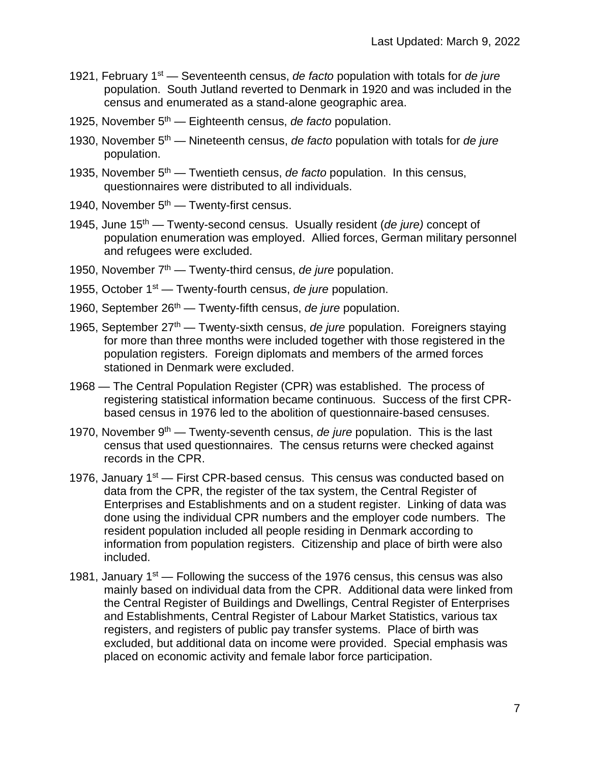- 1921, February 1st Seventeenth census, *de facto* population with totals for *de jure* population. South Jutland reverted to Denmark in 1920 and was included in the census and enumerated as a stand-alone geographic area.
- 1925, November 5th Eighteenth census, *de facto* population.
- 1930, November 5th Nineteenth census, *de facto* population with totals for *de jure* population.
- 1935, November 5th Twentieth census, *de facto* population. In this census, questionnaires were distributed to all individuals.
- 1940, November 5<sup>th</sup> Twenty-first census.
- 1945, June 15th Twenty-second census. Usually resident (*de jure)* concept of population enumeration was employed. Allied forces, German military personnel and refugees were excluded.
- 1950, November 7<sup>th</sup> Twenty-third census, *de jure* population.
- 1955, October 1st Twenty-fourth census, *de jure* population.
- 1960, September 26th Twenty-fifth census, *de jure* population.
- 1965, September 27th Twenty-sixth census, *de jure* population. Foreigners staying for more than three months were included together with those registered in the population registers. Foreign diplomats and members of the armed forces stationed in Denmark were excluded.
- 1968 The Central Population Register (CPR) was established. The process of registering statistical information became continuous. Success of the first CPRbased census in 1976 led to the abolition of questionnaire-based censuses.
- 1970, November 9<sup>th</sup> Twenty-seventh census, *de jure* population. This is the last census that used questionnaires. The census returns were checked against records in the CPR.
- 1976, January 1<sup>st</sup> First CPR-based census. This census was conducted based on data from the CPR, the register of the tax system, the Central Register of Enterprises and Establishments and on a student register. Linking of data was done using the individual CPR numbers and the employer code numbers. The resident population included all people residing in Denmark according to information from population registers. Citizenship and place of birth were also included.
- 1981, January  $1<sup>st</sup>$  Following the success of the 1976 census, this census was also mainly based on individual data from the CPR. Additional data were linked from the Central Register of Buildings and Dwellings, Central Register of Enterprises and Establishments, Central Register of Labour Market Statistics, various tax registers, and registers of public pay transfer systems. Place of birth was excluded, but additional data on income were provided. Special emphasis was placed on economic activity and female labor force participation.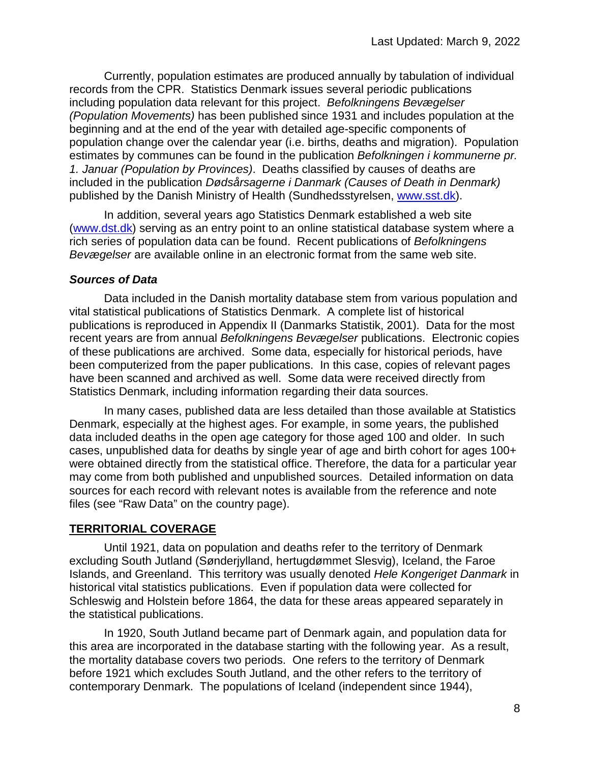Currently, population estimates are produced annually by tabulation of individual records from the CPR. Statistics Denmark issues several periodic publications including population data relevant for this project. *Befolkningens Bevægelser (Population Movements)* has been published since 1931 and includes population at the beginning and at the end of the year with detailed age-specific components of population change over the calendar year (i.e. births, deaths and migration). Population estimates by communes can be found in the publication *Befolkningen i kommunerne pr. 1. Januar (Population by Provinces)*. Deaths classified by causes of deaths are included in the publication *Dødsårsagerne i Danmark (Causes of Death in Denmark)* published by the Danish Ministry of Health (Sundhedsstyrelsen, [www.sst.dk\)](http://www.sst.dk/).

In addition, several years ago Statistics Denmark established a web site [\(www.dst.dk\)](http://www.dst.dk/) serving as an entry point to an online statistical database system where a rich series of population data can be found. Recent publications of *Befolkningens Bevægelser* are available online in an electronic format from the same web site.

#### *Sources of Data*

Data included in the Danish mortality database stem from various population and vital statistical publications of Statistics Denmark. A complete list of historical publications is reproduced in Appendix II (Danmarks Statistik, 2001). Data for the most recent years are from annual *Befolkningens Bevægelser* publications. Electronic copies of these publications are archived. Some data, especially for historical periods, have been computerized from the paper publications. In this case, copies of relevant pages have been scanned and archived as well. Some data were received directly from Statistics Denmark, including information regarding their data sources.

In many cases, published data are less detailed than those available at Statistics Denmark, especially at the highest ages. For example, in some years, the published data included deaths in the open age category for those aged 100 and older. In such cases, unpublished data for deaths by single year of age and birth cohort for ages 100+ were obtained directly from the statistical office. Therefore, the data for a particular year may come from both published and unpublished sources. Detailed information on data sources for each record with relevant notes is available from the reference and note files (see "Raw Data" on the country page).

## **TERRITORIAL COVERAGE**

Until 1921, data on population and deaths refer to the territory of Denmark excluding South Jutland (Sønderjylland, hertugdømmet Slesvig), Iceland, the Faroe Islands, and Greenland. This territory was usually denoted *Hele Kongeriget Danmark* in historical vital statistics publications. Even if population data were collected for Schleswig and Holstein before 1864, the data for these areas appeared separately in the statistical publications.

In 1920, South Jutland became part of Denmark again, and population data for this area are incorporated in the database starting with the following year. As a result, the mortality database covers two periods. One refers to the territory of Denmark before 1921 which excludes South Jutland, and the other refers to the territory of contemporary Denmark. The populations of Iceland (independent since 1944),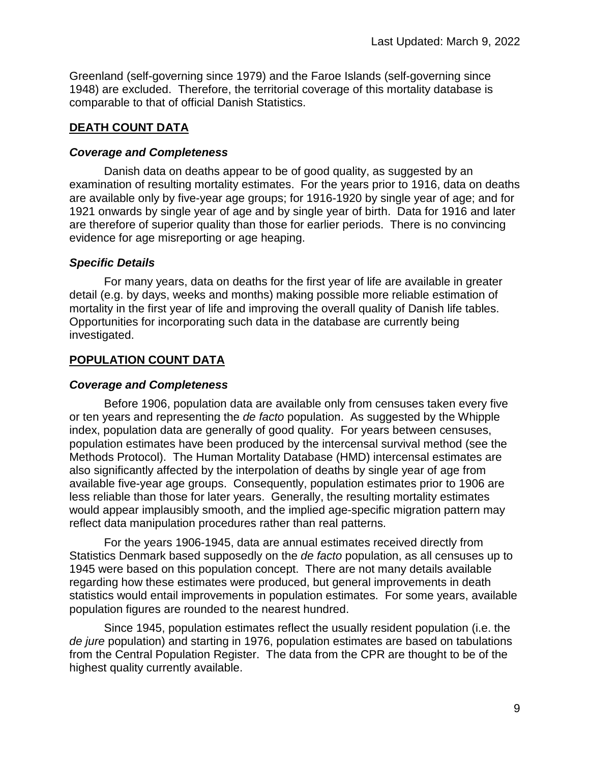Greenland (self-governing since 1979) and the Faroe Islands (self-governing since 1948) are excluded. Therefore, the territorial coverage of this mortality database is comparable to that of official Danish Statistics.

### **DEATH COUNT DATA**

#### *Coverage and Completeness*

Danish data on deaths appear to be of good quality, as suggested by an examination of resulting mortality estimates. For the years prior to 1916, data on deaths are available only by five-year age groups; for 1916-1920 by single year of age; and for 1921 onwards by single year of age and by single year of birth. Data for 1916 and later are therefore of superior quality than those for earlier periods. There is no convincing evidence for age misreporting or age heaping.

#### *Specific Details*

For many years, data on deaths for the first year of life are available in greater detail (e.g. by days, weeks and months) making possible more reliable estimation of mortality in the first year of life and improving the overall quality of Danish life tables. Opportunities for incorporating such data in the database are currently being investigated.

## **POPULATION COUNT DATA**

### *Coverage and Completeness*

Before 1906, population data are available only from censuses taken every five or ten years and representing the *de facto* population. As suggested by the Whipple index, population data are generally of good quality. For years between censuses, population estimates have been produced by the intercensal survival method (see the Methods Protocol). The Human Mortality Database (HMD) intercensal estimates are also significantly affected by the interpolation of deaths by single year of age from available five-year age groups. Consequently, population estimates prior to 1906 are less reliable than those for later years. Generally, the resulting mortality estimates would appear implausibly smooth, and the implied age-specific migration pattern may reflect data manipulation procedures rather than real patterns.

For the years 1906-1945, data are annual estimates received directly from Statistics Denmark based supposedly on the *de facto* population, as all censuses up to 1945 were based on this population concept. There are not many details available regarding how these estimates were produced, but general improvements in death statistics would entail improvements in population estimates. For some years, available population figures are rounded to the nearest hundred.

Since 1945, population estimates reflect the usually resident population (i.e. the *de jure* population) and starting in 1976, population estimates are based on tabulations from the Central Population Register. The data from the CPR are thought to be of the highest quality currently available.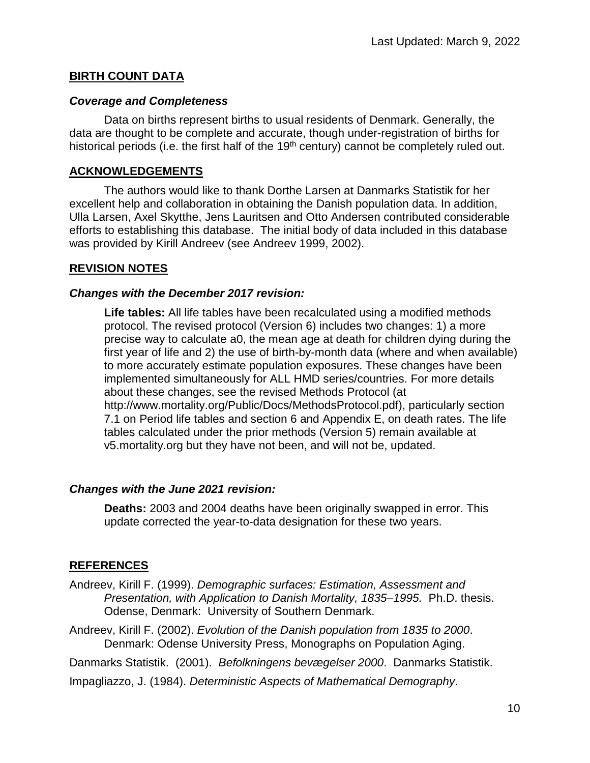#### **BIRTH COUNT DATA**

#### *Coverage and Completeness*

Data on births represent births to usual residents of Denmark. Generally, the data are thought to be complete and accurate, though under-registration of births for historical periods (i.e. the first half of the 19<sup>th</sup> century) cannot be completely ruled out.

#### **ACKNOWLEDGEMENTS**

The authors would like to thank Dorthe Larsen at Danmarks Statistik for her excellent help and collaboration in obtaining the Danish population data. In addition, Ulla Larsen, Axel Skytthe, Jens Lauritsen and Otto Andersen contributed considerable efforts to establishing this database. The initial body of data included in this database was provided by Kirill Andreev (see Andreev 1999, 2002).

#### **REVISION NOTES**

#### *Changes with the December 2017 revision:*

**Life tables:** All life tables have been recalculated using a modified methods protocol. The revised protocol (Version 6) includes two changes: 1) a more precise way to calculate a0, the mean age at death for children dying during the first year of life and 2) the use of birth-by-month data (where and when available) to more accurately estimate population exposures. These changes have been implemented simultaneously for ALL HMD series/countries. For more details about these changes, see the revised Methods Protocol (at http://www.mortality.org/Public/Docs/MethodsProtocol.pdf), particularly section 7.1 on Period life tables and section 6 and Appendix E, on death rates. The life tables calculated under the prior methods (Version 5) remain available at v5.mortality.org but they have not been, and will not be, updated.

#### *Changes with the June 2021 revision:*

**Deaths:** 2003 and 2004 deaths have been originally swapped in error. This update corrected the year-to-data designation for these two years.

## **REFERENCES**

- Andreev, Kirill F. (1999). *Demographic surfaces: Estimation, Assessment and Presentation, with Application to Danish Mortality, 1835–1995.* Ph.D. thesis. Odense, Denmark: University of Southern Denmark.
- Andreev, Kirill F. (2002). *Evolution of the Danish population from 1835 to 2000*. Denmark: Odense University Press, Monographs on Population Aging.

Danmarks Statistik. (2001). *Befolkningens bevægelser 2000*. Danmarks Statistik.

Impagliazzo, J. (1984). *Deterministic Aspects of Mathematical Demography*.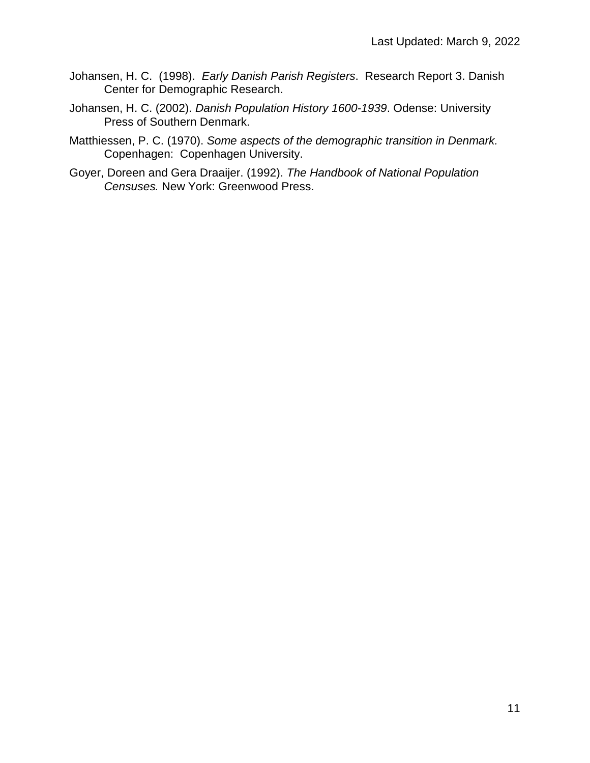- Johansen, H. C. (1998). *Early Danish Parish Registers*. Research Report 3. Danish Center for Demographic Research.
- Johansen, H. C. (2002). *Danish Population History 1600-1939*. Odense: University Press of Southern Denmark.
- Matthiessen, P. C. (1970). *Some aspects of the demographic transition in Denmark.* Copenhagen: Copenhagen University.
- Goyer, Doreen and Gera Draaijer. (1992). *The Handbook of National Population Censuses.* New York: Greenwood Press.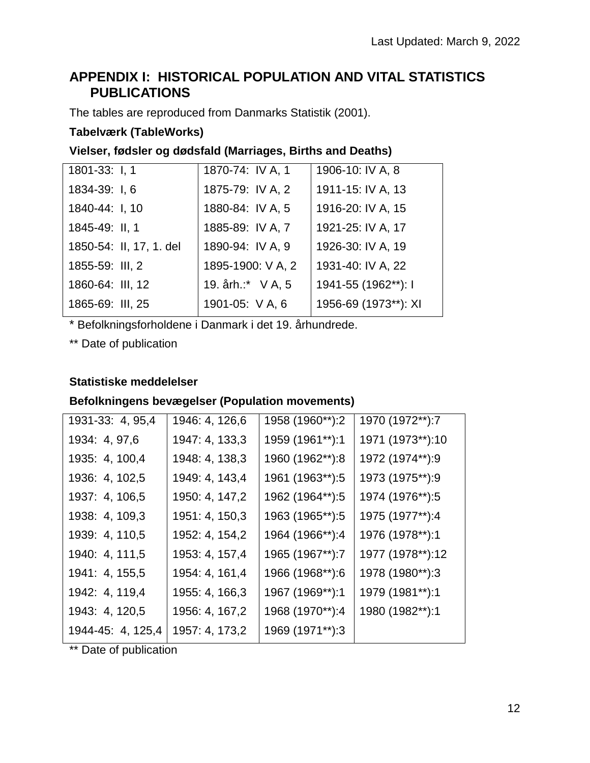# **APPENDIX I: HISTORICAL POPULATION AND VITAL STATISTICS PUBLICATIONS**

The tables are reproduced from Danmarks Statistik (2001).

## **Tabelværk (TableWorks)**

## **Vielser, fødsler og dødsfald (Marriages, Births and Deaths)**

| 1801-33: I, 1           | 1870-74: IV A, 1  | 1906-10: IV A, 8     |
|-------------------------|-------------------|----------------------|
| 1834-39: I, 6           | 1875-79: IV A, 2  | 1911-15: IV A, 13    |
| 1840-44: I, 10          | 1880-84: IV A, 5  | 1916-20: IV A, 15    |
| 1845-49: II, 1          | 1885-89: IV A, 7  | 1921-25: IV A, 17    |
| 1850-54: II, 17, 1. del | 1890-94: IV A, 9  | 1926-30: IV A, 19    |
| 1855-59: III, 2         | 1895-1900: V A, 2 | 1931-40: IV A, 22    |
| 1860-64: III, 12        | 19. årh.:* V A, 5 | 1941-55 (1962**): I  |
| 1865-69: III, 25        | 1901-05: V A, 6   | 1956-69 (1973**): XI |
|                         |                   |                      |

\* Befolkningsforholdene i Danmark i det 19. århundrede.

\*\* Date of publication

## **Statistiske meddelelser**

## **Befolkningens bevægelser (Population movements)**

| 1971 (1973**):10 |
|------------------|
| 1972 (1974**):9  |
| 1973 (1975**):9  |
| 1974 (1976**):5  |
| 1975 (1977**):4  |
| 1976 (1978**):1  |
| 1977 (1978**):12 |
| 1978 (1980**):3  |
| 1979 (1981**):1  |
| 1980 (1982**):1  |
|                  |
|                  |

\*\* Date of publication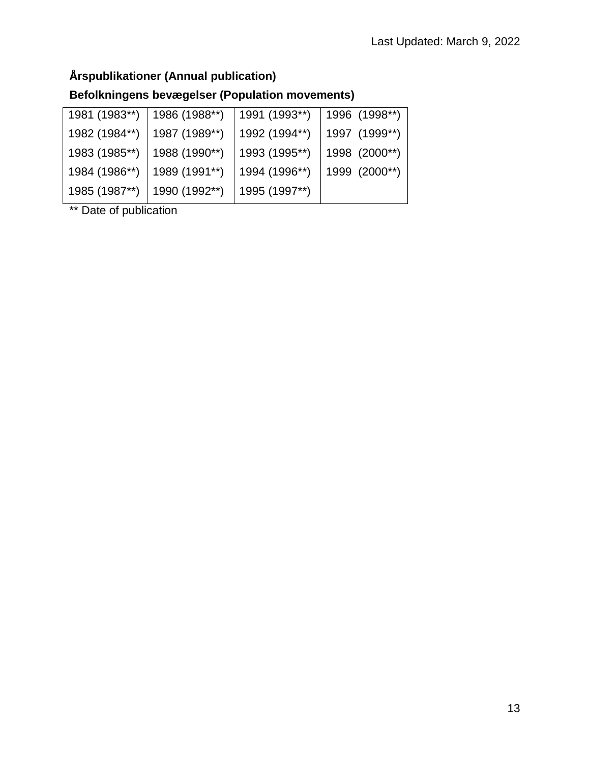# **Årspublikationer (Annual publication)**

# **Befolkningens bevægelser (Population movements)**

| 1986 (1988**) | 1991 (1993**) | 1996 (1998**) |
|---------------|---------------|---------------|
| 1987 (1989**) | 1992 (1994**) | 1997 (1999**) |
| 1988 (1990**) | 1993 (1995**) | 1998 (2000**) |
| 1989 (1991**) | 1994 (1996**) | 1999 (2000**) |
| 1990 (1992**) | 1995 (1997**) |               |
|               |               |               |

\*\* Date of publication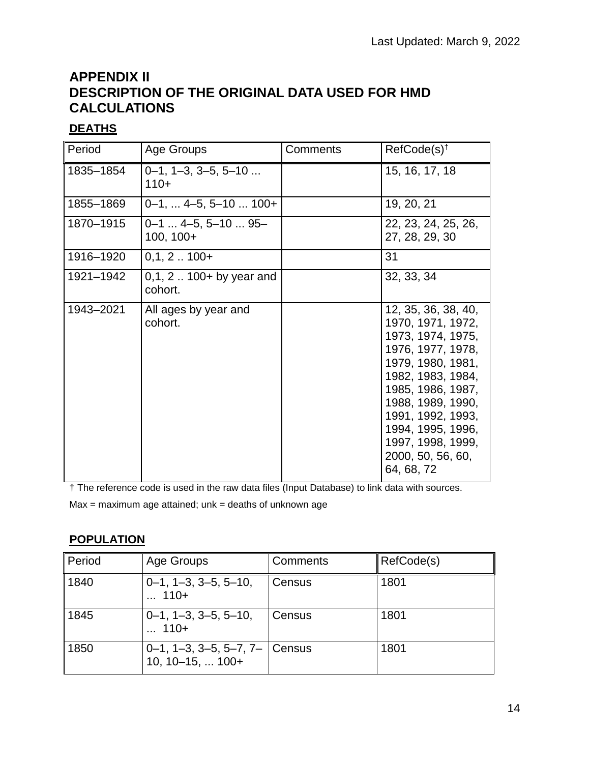# **APPENDIX II DESCRIPTION OF THE ORIGINAL DATA USED FOR HMD CALCULATIONS**

## **DEATHS**

| Period    | Age Groups                                | Comments | $RefCode(s)^{\dagger}$                                                                                                                                                                                                                                                   |
|-----------|-------------------------------------------|----------|--------------------------------------------------------------------------------------------------------------------------------------------------------------------------------------------------------------------------------------------------------------------------|
| 1835-1854 | $0-1$ , $1-3$ , $3-5$ , $5-10$<br>$110+$  |          | 15, 16, 17, 18                                                                                                                                                                                                                                                           |
| 1855-1869 | $0-1, \ldots 4-5, 5-10 \ldots 100+$       |          | 19, 20, 21                                                                                                                                                                                                                                                               |
| 1870-1915 | $0-1$ $4-5$ , $5-10$ $95-$<br>$100, 100+$ |          | 22, 23, 24, 25, 26,<br>27, 28, 29, 30                                                                                                                                                                                                                                    |
| 1916-1920 | $0,1, 2100+$                              |          | 31                                                                                                                                                                                                                                                                       |
| 1921-1942 | $0,1, 2 100+$ by year and<br>cohort.      |          | 32, 33, 34                                                                                                                                                                                                                                                               |
| 1943-2021 | All ages by year and<br>cohort.           |          | 12, 35, 36, 38, 40,<br>1970, 1971, 1972,<br>1973, 1974, 1975,<br>1976, 1977, 1978,<br>1979, 1980, 1981,<br>1982, 1983, 1984,<br>1985, 1986, 1987,<br>1988, 1989, 1990,<br>1991, 1992, 1993,<br>1994, 1995, 1996,<br>1997, 1998, 1999,<br>2000, 50, 56, 60,<br>64, 68, 72 |

† The reference code is used in the raw data files (Input Database) to link data with sources.

 $Max = maximum$  age attained;  $unk = deaths$  of unknown age

## **POPULATION**

| Period | Age Groups                                                      | Comments | RefCode(s) |
|--------|-----------------------------------------------------------------|----------|------------|
| 1840   | $0-1$ , $1-3$ , $3-5$ , $5-10$ ,<br>$ 110+$                     | Census   | 1801       |
| 1845   | $0-1$ , $1-3$ , $3-5$ , $5-10$ ,<br>$ 110+$                     | Census   | 1801       |
| 1850   | $0-1$ , 1-3, 3-5, 5-7, 7- Census<br>$10, 10 - 15, \ldots 100 +$ |          | 1801       |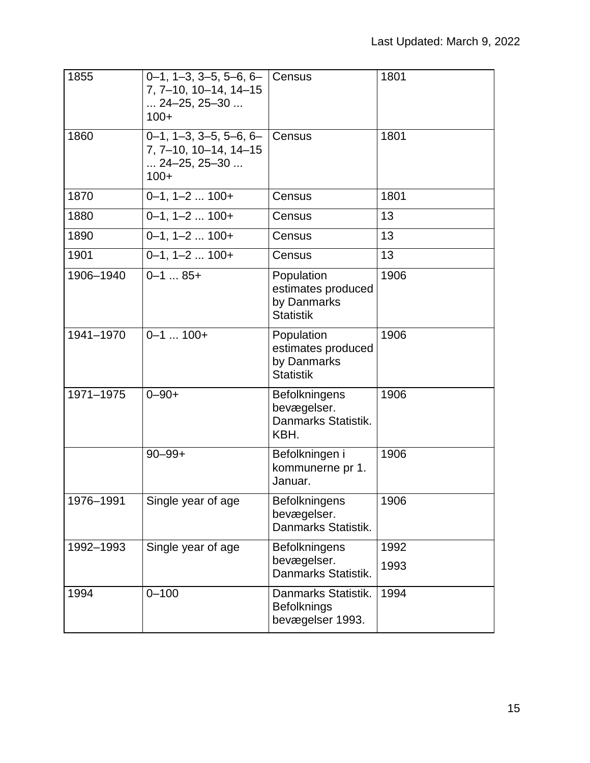| 1855      | $0-1$ , 1-3, 3-5, 5-6, 6- Census<br>7, 7-10, 10-14, 14-15<br>$\dots$ 24-25, 25-30 $\dots$<br>$100+$     |                                                                     | 1801 |
|-----------|---------------------------------------------------------------------------------------------------------|---------------------------------------------------------------------|------|
| 1860      | $0-1$ , $1-3$ , $3-5$ , $5-6$ , $6-$<br>7, 7-10, 10-14, 14-15<br>$\dots$ 24-25, 25-30 $\dots$<br>$100+$ | Census                                                              | 1801 |
| 1870      | $0-1$ , $1-2$ $100+$                                                                                    | Census                                                              | 1801 |
| 1880      | $0-1$ , $1-2$ $100+$                                                                                    | Census                                                              | 13   |
| 1890      | $0 - 1$ , $1 - 2$ $100 +$                                                                               | Census                                                              | 13   |
| 1901      | $0 - 1$ , $1 - 2$ $100 +$                                                                               | Census                                                              | 13   |
| 1906-1940 | $0 - 1$ 85+                                                                                             | Population<br>estimates produced<br>by Danmarks<br><b>Statistik</b> | 1906 |
| 1941-1970 | $\overline{0}$ -1  100+                                                                                 | Population<br>estimates produced<br>by Danmarks<br><b>Statistik</b> | 1906 |
| 1971-1975 | $0 - 90 +$                                                                                              | <b>Befolkningens</b><br>bevægelser.<br>Danmarks Statistik.<br>KBH.  | 1906 |
|           | $90 - 99 +$                                                                                             | Befolkningen i<br>kommunerne pr 1.<br>Januar.                       | 1906 |
| 1976-1991 | Single year of age                                                                                      | <b>Befolkningens</b><br>bevægelser.<br>Danmarks Statistik.          | 1906 |
| 1992-1993 | Single year of age                                                                                      | <b>Befolkningens</b>                                                | 1992 |
|           |                                                                                                         | bevægelser.<br>Danmarks Statistik.                                  | 1993 |
| 1994      | $0 - 100$                                                                                               | Danmarks Statistik.<br><b>Befolknings</b><br>bevægelser 1993.       | 1994 |